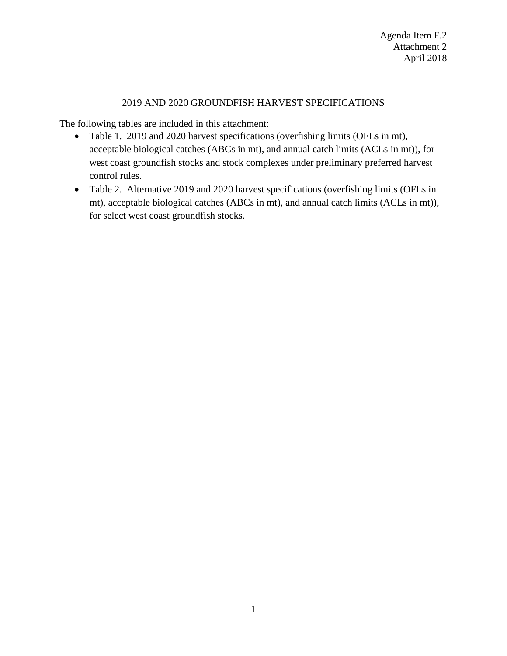## 2019 AND 2020 GROUNDFISH HARVEST SPECIFICATIONS

The following tables are included in this attachment:

- Table 1. 2019 and 2020 harvest specifications (overfishing limits (OFLs in mt), acceptable biological catches (ABCs in mt), and annual catch limits (ACLs in mt)), for west coast groundfish stocks and stock complexes under preliminary preferred harvest control rules.
- Table 2. Alternative 2019 and 2020 harvest specifications (overfishing limits (OFLs in mt), acceptable biological catches (ABCs in mt), and annual catch limits (ACLs in mt)), for select west coast groundfish stocks.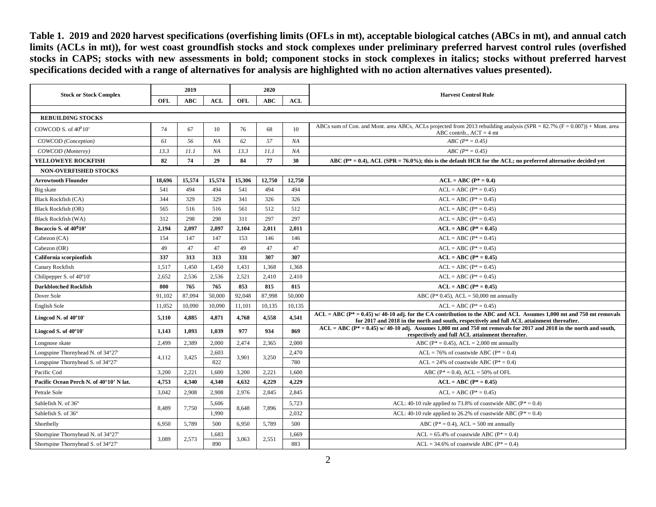**Table 1. 2019 and 2020 harvest specifications (overfishing limits (OFLs in mt), acceptable biological catches (ABCs in mt), and annual catch limits (ACLs in mt)), for west coast groundfish stocks and stock complexes under preliminary preferred harvest control rules (overfished stocks in CAPS; stocks with new assessments in bold; component stocks in stock complexes in italics; stocks without preferred harvest specifications decided with a range of alternatives for analysis are highlighted with no action alternatives values presented).**

| <b>Stock or Stock Complex</b>           | 2019   |            |        | 2020       |            |        |                                                                                                                                                                                                                      |  |  |  |
|-----------------------------------------|--------|------------|--------|------------|------------|--------|----------------------------------------------------------------------------------------------------------------------------------------------------------------------------------------------------------------------|--|--|--|
|                                         | OFL    | <b>ABC</b> | ACL    | <b>OFL</b> | <b>ABC</b> | ACL    | <b>Harvest Control Rule</b>                                                                                                                                                                                          |  |  |  |
|                                         |        |            |        |            |            |        |                                                                                                                                                                                                                      |  |  |  |
| <b>REBUILDING STOCKS</b>                |        |            |        |            |            |        |                                                                                                                                                                                                                      |  |  |  |
| COWCOD S. of $40^010'$                  | 74     | 67         | 10     | 76         | 68         | 10     | ABCs sum of Con. and Mont. area ABCs, ACLs projected from 2013 rebuilding analysis (SPR = $82.7\%$ (F = 0.007)) + Mont. area<br>ABC contrib., $ACT = 4$ mt                                                           |  |  |  |
| COWCOD (Conception)                     | 61     | 56         | NA     | 62         | 57         | NA     | $ABC (P^* = 0.45)$                                                                                                                                                                                                   |  |  |  |
| COWCOD (Monterey)                       | 13.3   | 11.1       | NA     | 13.3       | 11.1       | NA     | $ABC (P^* = 0.45)$                                                                                                                                                                                                   |  |  |  |
| YELLOWEYE ROCKFISH                      | 82     | 74         | 29     | 84         | 77         | 30     | ABC ( $P^* = 0.4$ ), ACL (SPR = 76.0%); this is the default HCR for the ACL; no preferred alternative decided yet                                                                                                    |  |  |  |
| <b>NON-OVERFISHED STOCKS</b>            |        |            |        |            |            |        |                                                                                                                                                                                                                      |  |  |  |
| <b>Arrowtooth Flounder</b>              | 18,696 | 15,574     | 15,574 | 15,306     | 12,750     | 12,750 | $ACL = ABC (P^* = 0.4)$                                                                                                                                                                                              |  |  |  |
| Big skate                               | 541    | 494        | 494    | 541        | 494        | 494    | $ACL = ABC (P^* = 0.45)$                                                                                                                                                                                             |  |  |  |
| <b>Black Rockfish (CA)</b>              | 344    | 329        | 329    | 341        | 326        | 326    | $ACL = ABC (P* = 0.45)$                                                                                                                                                                                              |  |  |  |
| <b>Black Rockfish (OR)</b>              | 565    | 516        | 516    | 561        | 512        | 512    | $ACL = ABC (P^* = 0.45)$                                                                                                                                                                                             |  |  |  |
| <b>Black Rockfish (WA)</b>              | 312    | 298        | 298    | 311        | 297        | 297    | $ACL = ABC (P^* = 0.45)$                                                                                                                                                                                             |  |  |  |
| Bocaccio S. of 40 <sup>0</sup> 10'      | 2,194  | 2,097      | 2,097  | 2,104      | 2,011      | 2,011  | $ACL = ABC (P^* = 0.45)$                                                                                                                                                                                             |  |  |  |
| Cabezon (CA)                            | 154    | 147        | 147    | 153        | 146        | 146    | $ACL = ABC (P^* = 0.45)$                                                                                                                                                                                             |  |  |  |
| Cabezon (OR)                            | 49     | 47         | 47     | 49         | 47         | 47     | $ACL = ABC (P* = 0.45)$                                                                                                                                                                                              |  |  |  |
| California scorpionfish                 | 337    | 313        | 313    | 331        | 307        | 307    | $ACL = ABC (P* = 0.45)$                                                                                                                                                                                              |  |  |  |
| Canary Rockfish                         | 1,517  | 1,450      | 1.450  | 1.431      | 1,368      | 1.368  | $ACL = ABC (P^* = 0.45)$                                                                                                                                                                                             |  |  |  |
| Chilipepper S. of 40°10'                | 2,652  | 2,536      | 2,536  | 2,521      | 2,410      | 2,410  | $ACL = ABC (P^* = 0.45)$                                                                                                                                                                                             |  |  |  |
| <b>Darkblotched Rockfish</b>            | 800    | 765        | 765    | 853        | 815        | 815    | $ACL = ABC (P^* = 0.45)$                                                                                                                                                                                             |  |  |  |
| Dover Sole                              | 91.102 | 87,094     | 50,000 | 92,048     | 87,998     | 50,000 | ABC ( $P^*$ 0.45), ACL = 50,000 mt annually                                                                                                                                                                          |  |  |  |
| English Sole                            | 11,052 | 10,090     | 10,090 | 11,101     | 10,135     | 10,135 | $ACL = ABC (P^* = 0.45)$                                                                                                                                                                                             |  |  |  |
| Lingcod N. of 40°10'                    | 5,110  | 4,885      | 4,871  | 4.768      | 4.558      | 4.541  | $ACL = ABC (P^* = 0.45)$ w/ 40-10 adj. for the CA contribution to the ABC and ACL Assumes 1,000 mt and 750 mt removals<br>for 2017 and 2018 in the north and south, respectively and full ACL attainment thereafter. |  |  |  |
| Lingcod S. of 40°10'                    | 1,143  | 1,093      | 1,039  | 977        | 934        | 869    | $ACL = ABC (P^* = 0.45)$ w/ 40-10 adj. Assumes 1,000 mt and 750 mt removals for 2017 and 2018 in the north and south,<br>respectively and full ACL attainment thereafter.                                            |  |  |  |
| Longnose skate                          | 2.499  | 2,389      | 2.000  | 2.474      | 2,365      | 2,000  | ABC ( $P^* = 0.45$ ), ACL = 2,000 mt annually                                                                                                                                                                        |  |  |  |
| Longspine Thornyhead N. of 34°27'       |        |            | 2,603  |            |            | 2,470  | $ACL = 76\%$ of coastwide ABC ( $P^* = 0.4$ )                                                                                                                                                                        |  |  |  |
| Longspine Thornyhead S. of 34°27'       | 4,112  | 3,425      | 822    | 3,901      | 3,250      | 780    | $ACL = 24\%$ of coastwide ABC ( $P^* = 0.4$ )                                                                                                                                                                        |  |  |  |
| Pacific Cod                             | 3.200  | 2,221      | 1,600  | 3.200      | 2,221      | 1.600  | ABC ( $P^* = 0.4$ ), ACL = 50% of OFL                                                                                                                                                                                |  |  |  |
| Pacific Ocean Perch N. of 40°10' N lat. | 4,753  | 4,340      | 4,340  | 4,632      | 4,229      | 4.229  | $ACL = ABC (P^* = 0.45)$                                                                                                                                                                                             |  |  |  |
| Petrale Sole                            | 3,042  | 2,908      | 2,908  | 2,976      | 2,845      | 2,845  | $ACL = ABC (P^* = 0.45)$                                                                                                                                                                                             |  |  |  |
| Sablefish N. of 36°                     | 8,489  | 7,750      | 5,606  | 8.648      | 7,896      | 5,723  | ACL: 40-10 rule applied to 73.8% of coastwide ABC ( $P^* = 0.4$ )                                                                                                                                                    |  |  |  |
| Sablefish S. of 36°                     |        |            | 1,990  |            |            | 2,032  | ACL: 40-10 rule applied to 26.2% of coastwide ABC ( $P^* = 0.4$ )                                                                                                                                                    |  |  |  |
| Shortbelly                              | 6.950  | 5,789      | 500    | 6.950      | 5,789      | 500    | ABC ( $P^* = 0.4$ ), ACL = 500 mt annually                                                                                                                                                                           |  |  |  |
| Shortspine Thornyhead N. of 34°27'      | 3,089  | 2,573      | 1,683  | 3,063      | 2,551      | 1,669  | $ACL = 65.4\%$ of coastwide ABC ( $P^* = 0.4$ )                                                                                                                                                                      |  |  |  |
| Shortspine Thornyhead S. of 34°27'      |        |            | 890    |            |            | 883    | $ACL = 34.6\%$ of coastwide ABC ( $P^* = 0.4$ )                                                                                                                                                                      |  |  |  |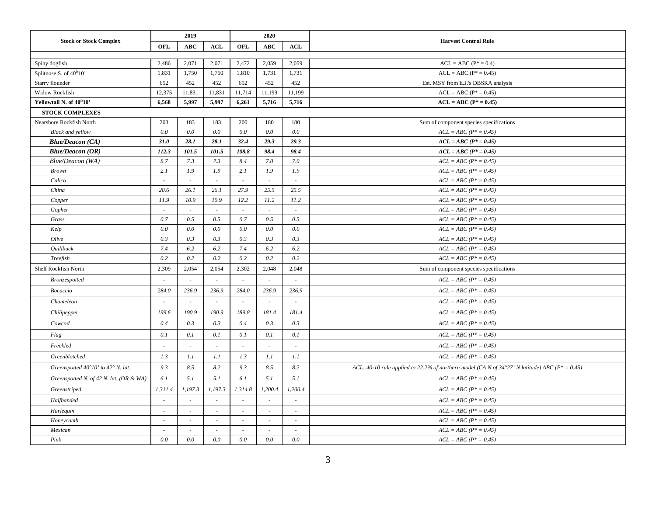|                                                      |                          | 2019                     |                          |            | 2020          |         |                                                                                                         |
|------------------------------------------------------|--------------------------|--------------------------|--------------------------|------------|---------------|---------|---------------------------------------------------------------------------------------------------------|
| <b>Stock or Stock Complex</b>                        | OFL                      | <b>ABC</b>               | <b>ACL</b>               | <b>OFL</b> | ABC           | ACL     | <b>Harvest Control Rule</b>                                                                             |
|                                                      |                          |                          |                          |            |               |         |                                                                                                         |
| Spiny dogfish                                        | 2,486                    | 2,071                    | 2,071                    | 2,472      | 2,059         | 2,059   | $ACL = ABC (P^* = 0.4)$                                                                                 |
| Splitnose S. of $40^010$                             | 1,831                    | 1,750                    | 1,750                    | 1,810      | 1,731         | 1,731   | $ACL = ABC (P^* = 0.45)$                                                                                |
| Starry flounder                                      | 652                      | 452                      | 452                      | 652        | 452           | 452     | Est. MSY from E.J.'s DBSRA analysis                                                                     |
| Widow Rockfish                                       | 12,375                   | 11,831                   | 11,831                   | 11,714     | 11,199        | 11,199  | $ACL = ABC (P^* = 0.45)$                                                                                |
| Yellowtail N. of 40°10'                              | 6,568                    | 5,997                    | 5,997                    | 6,261      | 5,716         | 5,716   | $ACL = ABC (P* = 0.45)$                                                                                 |
| <b>STOCK COMPLEXES</b>                               |                          |                          |                          |            |               |         |                                                                                                         |
| Nearshore Rockfish North                             | 203                      | 183                      | 183                      | 200        | 180           | 180     | Sum of component species specifications                                                                 |
| <b>Black and yellow</b>                              | 0.0                      | 0.0                      | 0.0                      | 0.0        | 0.0           | 0.0     | $ACL = ABC (P^* = 0.45)$                                                                                |
| <b>Blue/Deacon (CA)</b>                              | 31.0                     | 28.1                     | 28.1                     | 32.4       | 29.3          | 29.3    | $ACL = ABC (P^* = 0.45)$                                                                                |
| <b>Blue/Deacon (OR)</b>                              | 112.3                    | 101.5                    | 101.5                    | 108.8      | 98.4          | 98.4    | $ACL = ABC (P^* = 0.45)$                                                                                |
| Blue/Deacon (WA)                                     | 8.7                      | 7.3                      | 7.3                      | 8.4        | 7.0           | 7.0     | $ACL = ABC (P^* = 0.45)$                                                                                |
| <b>Brown</b>                                         | 2.1                      | 1.9                      | 1.9                      | 2.1        | 1.9           | 1.9     | $ACL = ABC (P^* = 0.45)$                                                                                |
| Calico                                               | $\overline{\phantom{a}}$ | $\sim$                   | $\sim$                   | $\sim$     | $\sim$        | $\sim$  | $ACL = ABC (P^* = 0.45)$                                                                                |
| China                                                | 28.6                     | 26.1                     | 26.1                     | 27.9       | 25.5          | 25.5    | $ACL = ABC (P^* = 0.45)$                                                                                |
| Copper                                               | 11.9                     | 10.9                     | 10.9                     | 12.2       | 11.2          | 11.2    | $ACL = ABC (P^* = 0.45)$                                                                                |
| Gopher                                               | $\mathcal{L}$            | $\mathcal{L}$            | $\sim$                   | $\sim$     | $\mathcal{L}$ | $\sim$  | $ACL = ABC (P^* = 0.45)$                                                                                |
| Grass                                                | 0.7                      | 0.5                      | 0.5                      | 0.7        | 0.5           | 0.5     | $ACL = ABC (P^* = 0.45)$                                                                                |
| Kelp                                                 | $0.0\,$                  | 0.0                      | 0.0                      | 0.0        | $0.0\,$       | 0.0     | $ACL = ABC (P* = 0.45)$                                                                                 |
| Olive                                                | 0.3                      | 0.3                      | 0.3                      | 0.3        | 0.3           | 0.3     | $ACL = ABC (P^* = 0.45)$                                                                                |
| Quillback                                            | 7.4                      | 6.2                      | 6.2                      | 7.4        | 6.2           | 6.2     | $ACL = ABC (P^* = 0.45)$                                                                                |
| Treefish                                             | 0.2                      | 0.2                      | 0.2                      | 0.2        | 0.2           | 0.2     | $ACL = ABC (P^* = 0.45)$                                                                                |
| Shelf Rockfish North                                 | 2,309                    | 2,054                    | 2,054                    | 2,302      | 2,048         | 2,048   | Sum of component species specifications                                                                 |
| Bronzespotted                                        |                          | ÷,                       |                          |            |               |         | $ACL = ABC (P^* = 0.45)$                                                                                |
| Bocaccio                                             | 284.0                    | 236.9                    | 236.9                    | 284.0      | 236.9         | 236.9   | $ACL = ABC (P^* = 0.45)$                                                                                |
| Chameleon                                            |                          |                          |                          |            |               |         | $ACL = ABC (P^* = 0.45)$                                                                                |
| Chilipepper                                          | 199.6                    | 190.9                    | 190.9                    | 189.8      | 181.4         | 181.4   | $ACL = ABC (P^* = 0.45)$                                                                                |
| Cowcod                                               | 0.4                      | 0.3                      | 0.3                      | 0.4        | 0.3           | 0.3     | $ACL = ABC (P^* = 0.45)$                                                                                |
| Flag                                                 | 0.1                      | 0.1                      | 0.1                      | 0.1        | 0.1           | 0.1     | $ACL = ABC (P^* = 0.45)$                                                                                |
| Freckled                                             |                          | ÷.                       |                          |            | ÷.            |         | $ACL = ABC (P^* = 0.45)$                                                                                |
| Greenblotched                                        | 1.3                      | 1.1                      | 1.1                      | 1.3        | 1.1           | 1.1     | $ACL = ABC (P^* = 0.45)$                                                                                |
| Greenspotted $40^{\circ}10'$ to $42^{\circ}$ N. lat. | 9.3                      | 8.5                      | 8.2                      | 9.3        | 8.5           | 8.2     | ACL: 40-10 rule applied to 22.2% of northern model (CA N of $34^{\circ}27'$ N latitude) ABC (P* = 0.45) |
| Greenspotted N. of 42 N. lat. (OR & WA)              | 6.1                      | 5.1                      | 5.1                      | 6.1        | 5.1           | 5.1     | $ACL = ABC (P^* = 0.45)$                                                                                |
| Greenstriped                                         | 1,311.4                  | 1,197.3                  | 1,197.3                  | 1,314.8    | 1,200.4       | 1,200.4 | $ACL = ABC (P^* = 0.45)$                                                                                |
| Halfbanded                                           |                          | $\overline{\phantom{a}}$ |                          |            |               |         | $ACL = ABC (P^* = 0.45)$                                                                                |
| Harlequin                                            | $\sim$                   | $\sim$                   | $\overline{\phantom{a}}$ | $\sim$     | ÷             | $\sim$  | $ACL = ABC (P^* = 0.45)$                                                                                |
| Honeycomb                                            | ÷                        | $\sim$                   | $\sim$                   | $\sim$     | $\sim$        | $\sim$  | $ACL = ABC (P^* = 0.45)$                                                                                |
| Mexican                                              | $\sim$                   | $\sim$                   | $\overline{\phantom{a}}$ | $\sim$     | $\sim$        | $\sim$  | $ACL = ABC (P^* = 0.45)$                                                                                |
| Pink                                                 | $0.0\,$                  | 0.0                      | 0.0                      | $0.0\,$    | 0.0           | 0.0     | $ACL = ABC (P^* = 0.45)$                                                                                |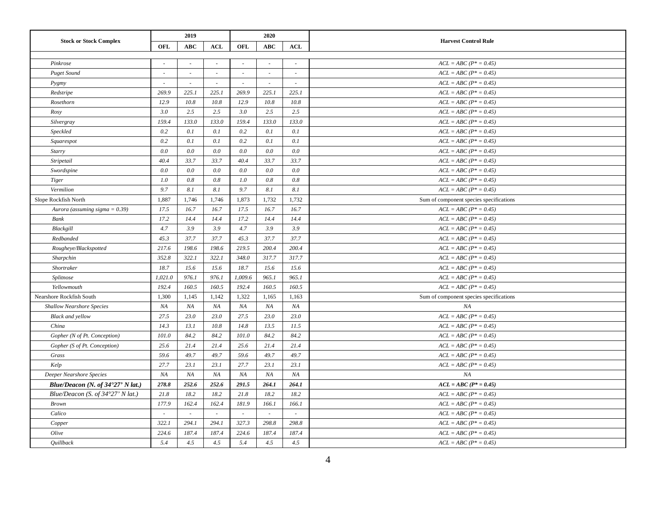|                                            |            | 2019       |            |         | 2020       |        |                                         |
|--------------------------------------------|------------|------------|------------|---------|------------|--------|-----------------------------------------|
| <b>Stock or Stock Complex</b>              | <b>OFL</b> | <b>ABC</b> | <b>ACL</b> | OFL     | <b>ABC</b> | ACL    | <b>Harvest Control Rule</b>             |
|                                            |            |            |            |         |            |        |                                         |
| Pinkrose                                   | $\sim$     | $\sim$     | $\sim$     | ×.      | $\sim$     | $\sim$ | $ACL = ABC (P^* = 0.45)$                |
| <b>Puget Sound</b>                         | $\sim$     | $\sim$     | $\sim$     | $\sim$  | $\sim$     | $\sim$ | $ACL = ABC (P^* = 0.45)$                |
| Pygmy                                      | $\sim$     | $\sim$     | $\sim$     | $\sim$  | $\sim$     | $\sim$ | $ACL = ABC (P^* = 0.45)$                |
| Redstripe                                  | 269.9      | 225.1      | 225.1      | 269.9   | 225.1      | 225.1  | $ACL = ABC (P^* = 0.45)$                |
| Rosethorn                                  | 12.9       | 10.8       | 10.8       | 12.9    | 10.8       | 10.8   | $ACL = ABC (P^* = 0.45)$                |
| Rosy                                       | $3.0\,$    | 2.5        | 2.5        | $3.0\,$ | 2.5        | 2.5    | $ACL = ABC (P* = 0.45)$                 |
| Silvergray                                 | 159.4      | 133.0      | 133.0      | 159.4   | 133.0      | 133.0  | $ACL = ABC (P^* = 0.45)$                |
| Speckled                                   | 0.2        | 0.1        | 0.1        | 0.2     | 0.1        | 0.1    | $ACL = ABC (P^* = 0.45)$                |
| Squarespot                                 | 0.2        | 0.1        | 0.1        | 0.2     | 0.1        | 0.1    | $ACL = ABC (P^* = 0.45)$                |
| Starry                                     | 0.0        | 0.0        | 0.0        | 0.0     | 0.0        | 0.0    | $ACL = ABC (P^* = 0.45)$                |
| Stripetail                                 | 40.4       | 33.7       | 33.7       | 40.4    | 33.7       | 33.7   | $ACL = ABC (P^* = 0.45)$                |
| Swordspine                                 | 0.0        | 0.0        | 0.0        | 0.0     | 0.0        | 0.0    | $ACL = ABC (P^* = 0.45)$                |
| Tiger                                      | 1.0        | 0.8        | 0.8        | 1.0     | 0.8        | 0.8    | $ACL = ABC (P^* = 0.45)$                |
| Vermilion                                  | 9.7        | 8.1        | 8.1        | 9.7     | 8.1        | 8.1    | $ACL = ABC (P^* = 0.45)$                |
| Slope Rockfish North                       | 1,887      | 1,746      | 1,746      | 1,873   | 1,732      | 1,732  | Sum of component species specifications |
| Aurora (assuming sigma = $0.39$ )          | 17.5       | 16.7       | 16.7       | 17.5    | 16.7       | 16.7   | $ACL = ABC (P^* = 0.45)$                |
| Bank                                       | 17.2       | 14.4       | 14.4       | 17.2    | 14.4       | 14.4   | $ACL = ABC (P^* = 0.45)$                |
| Blackgill                                  | 4.7        | 3.9        | 3.9        | 4.7     | 3.9        | 3.9    | $ACL = ABC (P^* = 0.45)$                |
| Redbanded                                  | 45.3       | 37.7       | 37.7       | 45.3    | 37.7       | 37.7   | $ACL = ABC (P^* = 0.45)$                |
| Rougheye/Blackspotted                      | 217.6      | 198.6      | 198.6      | 219.5   | 200.4      | 200.4  | $ACL = ABC (P^* = 0.45)$                |
| Sharpchin                                  | 352.8      | 322.1      | 322.1      | 348.0   | 317.7      | 317.7  | $ACL = ABC (P^* = 0.45)$                |
| Shortraker                                 | 18.7       | 15.6       | 15.6       | 18.7    | 15.6       | 15.6   | $ACL = ABC (P^* = 0.45)$                |
| Splitnose                                  | 1,021.0    | 976.1      | 976.1      | 1,009.6 | 965.1      | 965.1  | $ACL = ABC (P^* = 0.45)$                |
| Yellowmouth                                | 192.4      | 160.5      | 160.5      | 192.4   | 160.5      | 160.5  | $ACL = ABC (P^* = 0.45)$                |
| Nearshore Rockfish South                   | 1,300      | 1,145      | 1,142      | 1,322   | 1,165      | 1,163  | Sum of component species specifications |
| <b>Shallow Nearshore Species</b>           | NA         | NA         | NA         | NA      | NA         | NA     | NA                                      |
| <b>Black</b> and yellow                    | 27.5       | 23.0       | 23.0       | 27.5    | 23.0       | 23.0   | $ACL = ABC (P^* = 0.45)$                |
| China                                      | 14.3       | 13.1       | 10.8       | 14.8    | 13.5       | 11.5   | $ACL = ABC (P^* = 0.45)$                |
| Gopher (N of Pt. Conception)               | 101.0      | 84.2       | 84.2       | 101.0   | 84.2       | 84.2   | $ACL = ABC (P^* = 0.45)$                |
| Gopher (S of Pt. Conception)               | 25.6       | 21.4       | 21.4       | 25.6    | 21.4       | 21.4   | $ACL = ABC (P^* = 0.45)$                |
| Grass                                      | 59.6       | 49.7       | 49.7       | 59.6    | 49.7       | 49.7   | $ACL = ABC (P^* = 0.45)$                |
| Kelp                                       | 27.7       | 23.1       | 23.1       | 27.7    | 23.1       | 23.1   | $ACL = ABC (P^* = 0.45)$                |
| Deeper Nearshore Species                   | NA         | NA         | NA         | NA      | NA         | NA     | NA                                      |
| Blue/Deacon (N. of $34^{\circ}27'$ N lat.) | 278.8      | 252.6      | 252.6      | 291.5   | 264.1      | 264.1  | $ACL = ABC (P^* = 0.45)$                |
| Blue/Deacon (S. of $34^{\circ}27'$ N lat.) | 21.8       | 18.2       | 18.2       | 21.8    | 18.2       | 18.2   | $ACL = ABC (P^* = 0.45)$                |
| <b>Brown</b>                               | 177.9      | 162.4      | 162.4      | 181.9   | 166.1      | 166.1  | $ACL = ABC (P^* = 0.45)$                |
| Calico                                     | $\sim$     | $\sim$     | $\sim$     |         | $\sim$     | $\sim$ | $ACL = ABC (P^* = 0.45)$                |
| Copper                                     | 322.1      | 294.1      | 294.1      | 327.3   | 298.8      | 298.8  | $ACL = ABC (P^* = 0.45)$                |
| Olive                                      | 224.6      | 187.4      | 187.4      | 224.6   | 187.4      | 187.4  | $ACL = ABC (P^* = 0.45)$                |
| Quillback                                  | 5.4        | 4.5        | 4.5        | 5.4     | 4.5        | 4.5    | $ACL = ABC (P^* = 0.45)$                |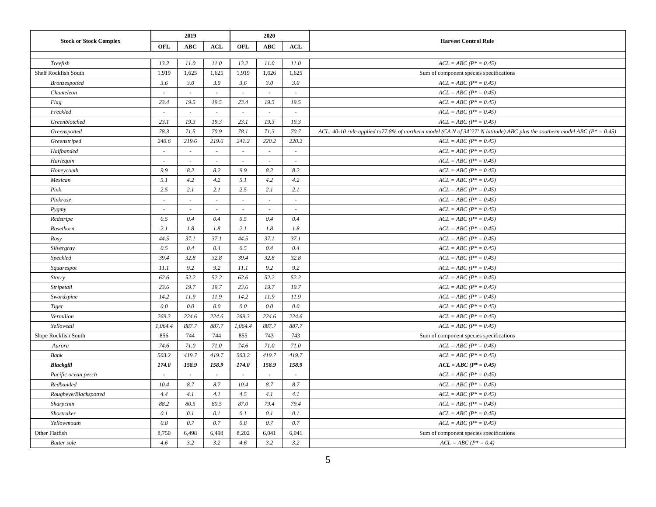|                               |                          | 2019       |                          |                          | 2020                     |                          |                                                                                                                                          |
|-------------------------------|--------------------------|------------|--------------------------|--------------------------|--------------------------|--------------------------|------------------------------------------------------------------------------------------------------------------------------------------|
| <b>Stock or Stock Complex</b> | OFL                      | <b>ABC</b> | <b>ACL</b>               | OFL                      | <b>ABC</b>               | ACL                      | <b>Harvest Control Rule</b>                                                                                                              |
|                               |                          |            |                          |                          |                          |                          |                                                                                                                                          |
| Treefish                      | 13.2                     | 11.0       | 11.0                     | 13.2                     | 11.0                     | 11.0                     | $ACL = ABC (P^* = 0.45)$                                                                                                                 |
| Shelf Rockfish South          | 1,919                    | 1,625      | 1,625                    | 1,919                    | 1,626                    | 1,625                    | Sum of component species specifications                                                                                                  |
| Bronzespotted                 | 3.6                      | 3.0        | 3.0                      | 3.6                      | 3.0                      | 3.0                      | $ACL = ABC (P^* = 0.45)$                                                                                                                 |
| Chameleon                     | $\sim$                   | $\sim$     | $\sim$                   | $\sim$                   | $\sim$                   | $\sim$                   | $ACL = ABC (P^* = 0.45)$                                                                                                                 |
| Flag                          | 23.4                     | 19.5       | 19.5                     | 23.4                     | 19.5                     | 19.5                     | $ACL = ABC (P^* = 0.45)$                                                                                                                 |
| Freckled                      | $\sim$                   | $\sim$     | $\sim$                   | $\sim$                   | $\sim$                   | $\sim$                   | $ACL = ABC (P^* = 0.45)$                                                                                                                 |
| Greenblotched                 | 23.1                     | 19.3       | 19.3                     | 23.1                     | 19.3                     | 19.3                     | $ACL = ABC (P^* = 0.45)$                                                                                                                 |
| Greenspotted                  | 78.3                     | 71.5       | 70.9                     | 78.1                     | 71.3                     | 70.7                     | ACL: 40-10 rule applied to 77.8% of northern model (CA N of $34^{\circ}27'$ N latitude) ABC plus the southern model ABC ( $P^* = 0.45$ ) |
| Greenstriped                  | 240.6                    | 219.6      | 219.6                    | 241.2                    | 220.2                    | 220.2                    | $ACL = ABC (P^* = 0.45)$                                                                                                                 |
| Halfbanded                    | $\sim$                   | $\sim$     | $\overline{\phantom{a}}$ | ٠                        | $\sim$                   | $\sim$                   | $ACL = ABC (P^* = 0.45)$                                                                                                                 |
| Harlequin                     | ÷.                       | $\sim$     | $\sim$                   | $\sim$                   | $\omega$                 | $\sim$                   | $ACL = ABC (P^* = 0.45)$                                                                                                                 |
| Honeycomb                     | 9.9                      | 8.2        | 8.2                      | 9.9                      | 8.2                      | 8.2                      | $ACL = ABC (P^* = 0.45)$                                                                                                                 |
| Mexican                       | 5.1                      | 4.2        | 4.2                      | 5.1                      | 4.2                      | 4.2                      | $ACL = ABC (P^* = 0.45)$                                                                                                                 |
| Pink                          | 2.5                      | 2.1        | 2.1                      | 2.5                      | 2.1                      | 2.1                      | $ACL = ABC (P^* = 0.45)$                                                                                                                 |
| Pinkrose                      | $\mathcal{L}$            | $\sim$     | $\sim$                   | $\sim$                   | $\omega$                 | $\sim$                   | $ACL = ABC (P^* = 0.45)$                                                                                                                 |
| Pygmy                         | $\overline{\phantom{a}}$ | $\sim$     |                          | $\overline{\phantom{a}}$ | $\overline{\phantom{a}}$ | $\overline{\phantom{a}}$ | $ACL = ABC (P^* = 0.45)$                                                                                                                 |
| Redstripe                     | 0.5                      | 0.4        | 0.4                      | 0.5                      | 0.4                      | 0.4                      | $ACL = ABC (P^* = 0.45)$                                                                                                                 |
| Rosethorn                     | 2.1                      | 1.8        | 1.8                      | 2.1                      | 1.8                      | 1.8                      | $ACL = ABC (P^* = 0.45)$                                                                                                                 |
| Rosy                          | 44.5                     | 37.1       | 37.1                     | 44.5                     | 37.1                     | 37.1                     | $ACL = ABC (P^* = 0.45)$                                                                                                                 |
| Silvergray                    | 0.5                      | 0.4        | 0.4                      | 0.5                      | 0.4                      | 0.4                      | $ACL = ABC (P^* = 0.45)$                                                                                                                 |
| Speckled                      | 39.4                     | 32.8       | 32.8                     | 39.4                     | 32.8                     | 32.8                     | $ACL = ABC (P^* = 0.45)$                                                                                                                 |
| Squarespot                    | 11.1                     | 9.2        | 9.2                      | 11.1                     | 9.2                      | 9.2                      | $ACL = ABC (P^* = 0.45)$                                                                                                                 |
| Starry                        | 62.6                     | 52.2       | 52.2                     | 62.6                     | 52.2                     | 52.2                     | $ACL = ABC (P^* = 0.45)$                                                                                                                 |
| Stripetail                    | 23.6                     | 19.7       | 19.7                     | 23.6                     | 19.7                     | 19.7                     | $ACL = ABC (P^* = 0.45)$                                                                                                                 |
| Swordspine                    | 14.2                     | 11.9       | 11.9                     | 14.2                     | 11.9                     | 11.9                     | $ACL = ABC (P^* = 0.45)$                                                                                                                 |
| <b>Tiger</b>                  | 0.0                      | 0.0        | 0.0                      | 0.0                      | 0.0                      | 0.0                      | $ACL = ABC (P^* = 0.45)$                                                                                                                 |
| Vermilion                     | 269.3                    | 224.6      | 224.6                    | 269.3                    | 224.6                    | 224.6                    | $ACL = ABC (P^* = 0.45)$                                                                                                                 |
| Yellowtail                    | 1,064.4                  | 887.7      | 887.7                    | 1,064.4                  | 887.7                    | 887.7                    | $ACL = ABC (P^* = 0.45)$                                                                                                                 |
| Slope Rockfish South          | 856                      | 744        | 744                      | 855                      | 743                      | 743                      | Sum of component species specifications                                                                                                  |
| Aurora                        | 74.6                     | 71.0       | 71.0                     | 74.6                     | 71.0                     | 71.0                     | $ACL = ABC (P^* = 0.45)$                                                                                                                 |
| Bank                          | 503.2                    | 419.7      | 419.7                    | 503.2                    | 419.7                    | 419.7                    | $ACL = ABC (P^* = 0.45)$                                                                                                                 |
| <b>Blackgill</b>              | 174.0                    | 158.9      | 158.9                    | 174.0                    | 158.9                    | 158.9                    | $ACL = ABC (P^* = 0.45)$                                                                                                                 |
| Pacific ocean perch           | $\sim$                   | $\sim$     | $\sim$                   |                          | $\sim$                   | $\sim$                   | $ACL = ABC (P^* = 0.45)$                                                                                                                 |
| Redbanded                     | 10.4                     | 8.7        | 8.7                      | 10.4                     | 8.7                      | 8.7                      | $ACL = ABC (P^* = 0.45)$                                                                                                                 |
| Rougheye/Blackspotted         | 4.4                      | 4.1        | 4.1                      | 4.5                      | 4.1                      | 4.1                      | $ACL = ABC (P^* = 0.45)$                                                                                                                 |
| Sharpchin                     | 88.2                     | 80.5       | 80.5                     | 87.0                     | 79.4                     | 79.4                     | $ACL = ABC (P^* = 0.45)$                                                                                                                 |
| Shortraker                    | 0.1                      | 0.1        | 0.1                      | 0.1                      | 0.1                      | 0.1                      | $ACL = ABC (P^* = 0.45)$                                                                                                                 |
| Yellowmouth                   | $0.8\,$                  | 0.7        | 0.7                      | 0.8                      | 0.7                      | 0.7                      | $ACL = ABC (P^* = 0.45)$                                                                                                                 |
| Other Flatfish                | 8,750                    | 6,498      | 6,498                    | 8,202                    | 6,041                    | 6,041                    | Sum of component species specifications                                                                                                  |
| <b>Butter</b> sole            | 4.6                      | 3.2        | 3.2                      | 4.6                      | 3.2                      | 3.2                      | $ACL = ABC (P^* = 0.4)$                                                                                                                  |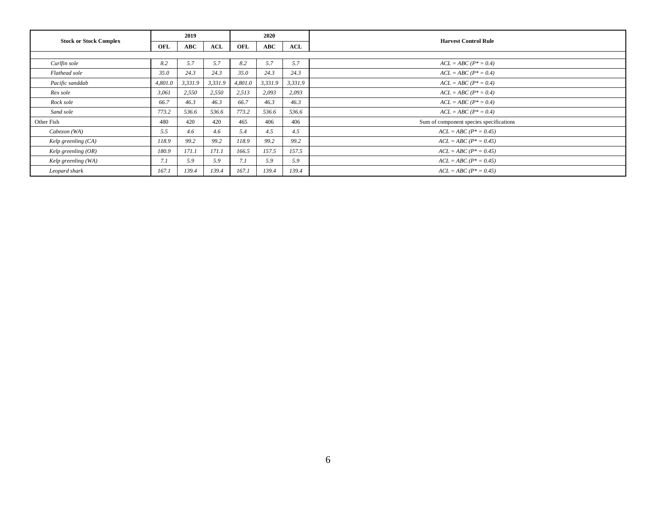| <b>Stock or Stock Complex</b> | 2019    |         |         | 2020    |            |         |                                         |
|-------------------------------|---------|---------|---------|---------|------------|---------|-----------------------------------------|
|                               | OFL     | ABC     | ACL     | OFL     | <b>ABC</b> | ACL     | <b>Harvest Control Rule</b>             |
|                               |         |         |         |         |            |         |                                         |
| Curlfin sole                  | 8.2     | 5.7     | 5.7     | 8.2     | 5.7        | 5.7     | $ACL = ABC (P^* = 0.4)$                 |
| Flathead sole                 | 35.0    | 24.3    | 24.3    | 35.0    | 24.3       | 24.3    | $ACL = ABC (P^* = 0.4)$                 |
| Pacific sanddab               | 4,801.0 | 3,331.9 | 3,331.9 | 4,801.0 | 3,331.9    | 3,331.9 | $ACL = ABC (P^* = 0.4)$                 |
| Rex sole                      | 3,061   | 2,550   | 2,550   | 2,513   | 2,093      | 2,093   | $ACL = ABC (P^* = 0.4)$                 |
| Rock sole                     | 66.7    | 46.3    | 46.3    | 66.7    | 46.3       | 46.3    | $ACL = ABC (P^* = 0.4)$                 |
| Sand sole                     | 773.2   | 536.6   | 536.6   | 773.2   | 536.6      | 536.6   | $ACL = ABC (P^* = 0.4)$                 |
| Other Fish                    | 480     | 420     | 420     | 465     | 406        | 406     | Sum of component species specifications |
| Cabezon (WA)                  | 5.5     | 4.6     | 4.6     | 5.4     | 4.5        | 4.5     | $ACL = ABC (P^* = 0.45)$                |
| Kelp greenling (CA)           | 118.9   | 99.2    | 99.2    | 118.9   | 99.2       | 99.2    | $ACL = ABC (P^* = 0.45)$                |
| Kelp greenling $(OR)$         | 180.9   | 171.1   | 171.1   | 166.5   | 157.5      | 157.5   | $ACL = ABC (P^* = 0.45)$                |
| Kelp greenling (WA)           | 7.1     | 5.9     | 5.9     | 7.1     | 5.9        | 5.9     | $ACL = ABC (P^* = 0.45)$                |
| Leopard shark                 | 167.1   | 139.4   | 139.4   | 167.1   | 139.4      | 139.4   | $ACL = ABC (P^* = 0.45)$                |